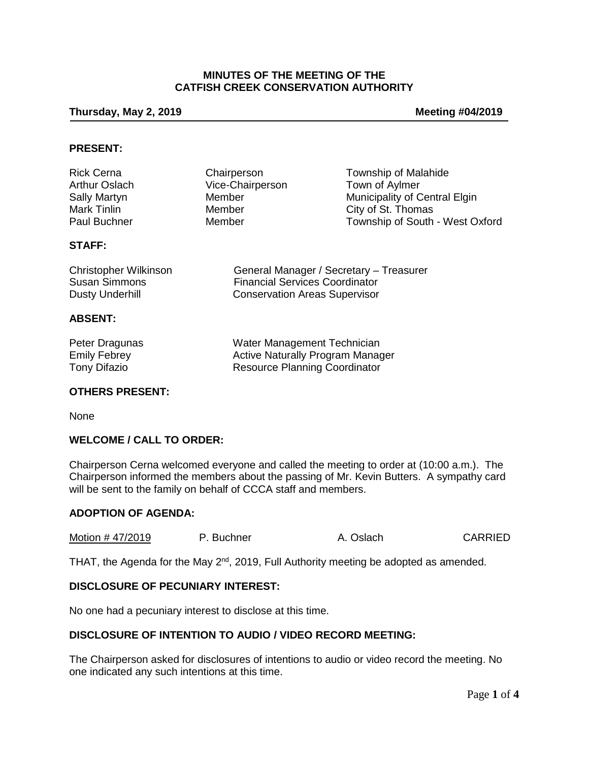## **MINUTES OF THE MEETING OF THE CATFISH CREEK CONSERVATION AUTHORITY**

#### **Thursday, May 2, 2019 Meeting #04/2019**

### **PRESENT:**

| Chairperson      | <b>Township of Malahide</b>     |
|------------------|---------------------------------|
| Vice-Chairperson | Town of Aylmer                  |
| Member           | Municipality of Central Elgin   |
| Member           | City of St. Thomas              |
| Member           | Township of South - West Oxford |
|                  |                                 |

## **STAFF:**

| <b>Christopher Wilkinson</b> | General Manager / Secretary - Treasurer |
|------------------------------|-----------------------------------------|
| Susan Simmons                | <b>Financial Services Coordinator</b>   |
| Dusty Underhill              | <b>Conservation Areas Supervisor</b>    |

## **ABSENT:**

| Peter Dragunas | Water Management Technician             |
|----------------|-----------------------------------------|
| Emily Febrey   | <b>Active Naturally Program Manager</b> |
| Tony Difazio   | <b>Resource Planning Coordinator</b>    |

### **OTHERS PRESENT:**

None

### **WELCOME / CALL TO ORDER:**

Chairperson Cerna welcomed everyone and called the meeting to order at (10:00 a.m.). The Chairperson informed the members about the passing of Mr. Kevin Butters. A sympathy card will be sent to the family on behalf of CCCA staff and members.

#### **ADOPTION OF AGENDA:**

Motion # 47/2019 P. Buchner A. Oslach CARRIED

THAT, the Agenda for the May  $2^{nd}$ , 2019, Full Authority meeting be adopted as amended.

## **DISCLOSURE OF PECUNIARY INTEREST:**

No one had a pecuniary interest to disclose at this time.

## **DISCLOSURE OF INTENTION TO AUDIO / VIDEO RECORD MEETING:**

The Chairperson asked for disclosures of intentions to audio or video record the meeting. No one indicated any such intentions at this time.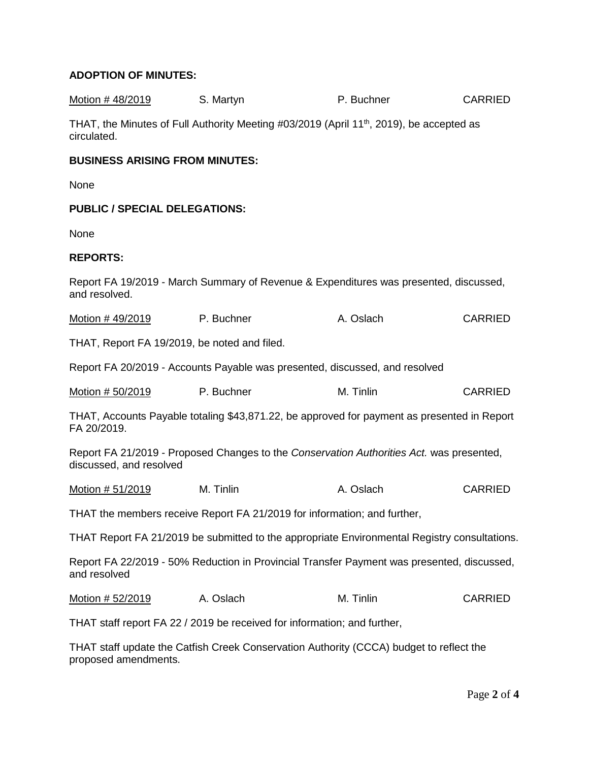# **ADOPTION OF MINUTES:**

| <u>Motion # 48/2019</u>                                                                                             | S. Martyn                                                                                            | P. Buchner | <b>CARRIED</b> |
|---------------------------------------------------------------------------------------------------------------------|------------------------------------------------------------------------------------------------------|------------|----------------|
| circulated.                                                                                                         | THAT, the Minutes of Full Authority Meeting #03/2019 (April 11 <sup>th</sup> , 2019), be accepted as |            |                |
| <b>BUSINESS ARISING FROM MINUTES:</b>                                                                               |                                                                                                      |            |                |
| None                                                                                                                |                                                                                                      |            |                |
| <b>PUBLIC / SPECIAL DELEGATIONS:</b>                                                                                |                                                                                                      |            |                |
| None                                                                                                                |                                                                                                      |            |                |
| <b>REPORTS:</b>                                                                                                     |                                                                                                      |            |                |
| and resolved.                                                                                                       | Report FA 19/2019 - March Summary of Revenue & Expenditures was presented, discussed,                |            |                |
| Motion # 49/2019                                                                                                    | P. Buchner                                                                                           | A. Oslach  | <b>CARRIED</b> |
| THAT, Report FA 19/2019, be noted and filed.                                                                        |                                                                                                      |            |                |
|                                                                                                                     | Report FA 20/2019 - Accounts Payable was presented, discussed, and resolved                          |            |                |
| Motion # 50/2019                                                                                                    | P. Buchner                                                                                           | M. Tinlin  | <b>CARRIED</b> |
| FA 20/2019.                                                                                                         | THAT, Accounts Payable totaling \$43,871.22, be approved for payment as presented in Report          |            |                |
| Report FA 21/2019 - Proposed Changes to the Conservation Authorities Act. was presented,<br>discussed, and resolved |                                                                                                      |            |                |
| Motion # 51/2019                                                                                                    | M. Tinlin                                                                                            | A. Oslach  | <b>CARRIED</b> |
|                                                                                                                     | THAT the members receive Report FA 21/2019 for information; and further,                             |            |                |
|                                                                                                                     | THAT Report FA 21/2019 be submitted to the appropriate Environmental Registry consultations.         |            |                |
| and resolved                                                                                                        | Report FA 22/2019 - 50% Reduction in Provincial Transfer Payment was presented, discussed,           |            |                |
| Motion # 52/2019                                                                                                    | A. Oslach                                                                                            | M. Tinlin  | <b>CARRIED</b> |
|                                                                                                                     | THAT staff report FA 22 / 2019 be received for information; and further,                             |            |                |

THAT staff update the Catfish Creek Conservation Authority (CCCA) budget to reflect the proposed amendments.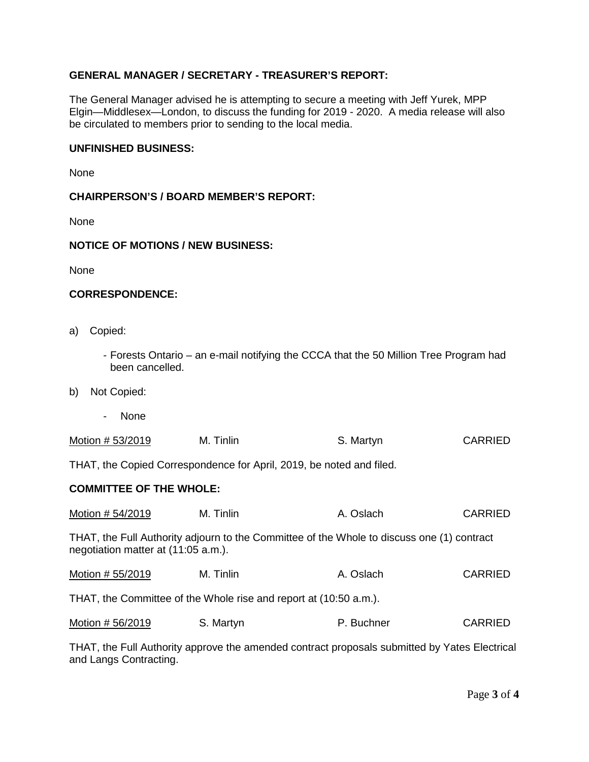# **GENERAL MANAGER / SECRETARY - TREASURER'S REPORT:**

The General Manager advised he is attempting to secure a meeting with Jeff Yurek, MPP Elgin—Middlesex—London, to discuss the funding for 2019 - 2020. A media release will also be circulated to members prior to sending to the local media.

### **UNFINISHED BUSINESS:**

None

### **CHAIRPERSON'S / BOARD MEMBER'S REPORT:**

None

#### **NOTICE OF MOTIONS / NEW BUSINESS:**

None

#### **CORRESPONDENCE:**

- a) Copied:
	- Forests Ontario an e-mail notifying the CCCA that the 50 Million Tree Program had been cancelled.
- b) Not Copied:
	- None

| Motion # 53/2019<br>M. Tinlin | S. Martyn | <b>CARRIED</b> |
|-------------------------------|-----------|----------------|
|-------------------------------|-----------|----------------|

THAT, the Copied Correspondence for April, 2019, be noted and filed.

### **COMMITTEE OF THE WHOLE:**

| Motion # 54/2019                                                                                                                  | M. Tinlin | A. Oslach  | <b>CARRIED</b> |  |  |
|-----------------------------------------------------------------------------------------------------------------------------------|-----------|------------|----------------|--|--|
| THAT, the Full Authority adjourn to the Committee of the Whole to discuss one (1) contract<br>negotiation matter at (11:05 a.m.). |           |            |                |  |  |
| Motion # 55/2019                                                                                                                  | M. Tinlin | A. Oslach  | <b>CARRIED</b> |  |  |
| THAT, the Committee of the Whole rise and report at (10:50 a.m.).                                                                 |           |            |                |  |  |
| Motion # 56/2019                                                                                                                  | S. Martyn | P. Buchner | <b>CARRIED</b> |  |  |

THAT, the Full Authority approve the amended contract proposals submitted by Yates Electrical and Langs Contracting.